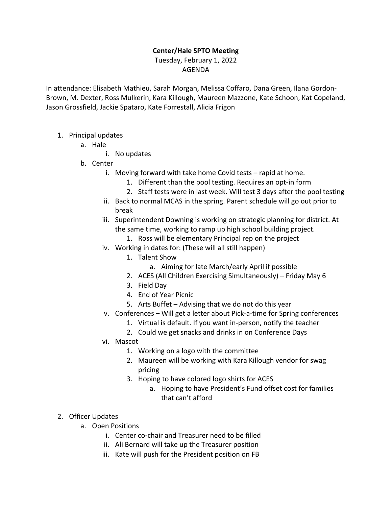## **Center/Hale SPTO Meeting**

## Tuesday, February 1, 2022 AGENDA

In attendance: Elisabeth Mathieu, Sarah Morgan, Melissa Coffaro, Dana Green, Ilana Gordon-Brown, M. Dexter, Ross Mulkerin, Kara Killough, Maureen Mazzone, Kate Schoon, Kat Copeland, Jason Grossfield, Jackie Spataro, Kate Forrestall, Alicia Frigon

- 1. Principal updates
	- a. Hale
		- i. No updates
	- b. Center
		- i. Moving forward with take home Covid tests rapid at home.
			- 1. Different than the pool testing. Requires an opt-in form
			- 2. Staff tests were in last week. Will test 3 days after the pool testing
		- ii. Back to normal MCAS in the spring. Parent schedule will go out prior to break

## iii. Superintendent Downing is working on strategic planning for district. At the same time, working to ramp up high school building project.

- 1. Ross will be elementary Principal rep on the project
- iv. Working in dates for: (These will all still happen)
	- 1. Talent Show
		- a. Aiming for late March/early April if possible
	- 2. ACES (All Children Exercising Simultaneously) Friday May 6
	- 3. Field Day
	- 4. End of Year Picnic
	- 5. Arts Buffet Advising that we do not do this year
- v. Conferences Will get a letter about Pick-a-time for Spring conferences
	- 1. Virtual is default. If you want in-person, notify the teacher
	- 2. Could we get snacks and drinks in on Conference Days
- vi. Mascot
	- 1. Working on a logo with the committee
	- 2. Maureen will be working with Kara Killough vendor for swag pricing
	- 3. Hoping to have colored logo shirts for ACES
		- a. Hoping to have President's Fund offset cost for families that can't afford
- 2. Officer Updates
	- a. Open Positions
		- i. Center co-chair and Treasurer need to be filled
		- ii. Ali Bernard will take up the Treasurer position
		- iii. Kate will push for the President position on FB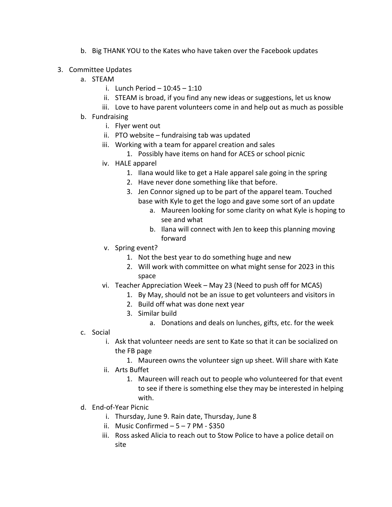- b. Big THANK YOU to the Kates who have taken over the Facebook updates
- 3. Committee Updates
	- a. STEAM
		- i. Lunch Period 10:45 1:10
		- ii. STEAM is broad, if you find any new ideas or suggestions, let us know
		- iii. Love to have parent volunteers come in and help out as much as possible
	- b. Fundraising
		- i. Flyer went out
		- ii. PTO website fundraising tab was updated
		- iii. Working with a team for apparel creation and sales
			- 1. Possibly have items on hand for ACES or school picnic
		- iv. HALE apparel
			- 1. Ilana would like to get a Hale apparel sale going in the spring
			- 2. Have never done something like that before.
			- 3. Jen Connor signed up to be part of the apparel team. Touched base with Kyle to get the logo and gave some sort of an update
				- a. Maureen looking for some clarity on what Kyle is hoping to see and what
				- b. Ilana will connect with Jen to keep this planning moving forward
		- v. Spring event?
			- 1. Not the best year to do something huge and new
			- 2. Will work with committee on what might sense for 2023 in this space
		- vi. Teacher Appreciation Week May 23 (Need to push off for MCAS)
			- 1. By May, should not be an issue to get volunteers and visitors in
			- 2. Build off what was done next year
			- 3. Similar build
				- a. Donations and deals on lunches, gifts, etc. for the week
	- c. Social
		- i. Ask that volunteer needs are sent to Kate so that it can be socialized on the FB page
			- 1. Maureen owns the volunteer sign up sheet. Will share with Kate
		- ii. Arts Buffet
			- 1. Maureen will reach out to people who volunteered for that event to see if there is something else they may be interested in helping with.
	- d. End-of-Year Picnic
		- i. Thursday, June 9. Rain date, Thursday, June 8
		- ii. Music Confirmed  $-5 7$  PM \$350
		- iii. Ross asked Alicia to reach out to Stow Police to have a police detail on site